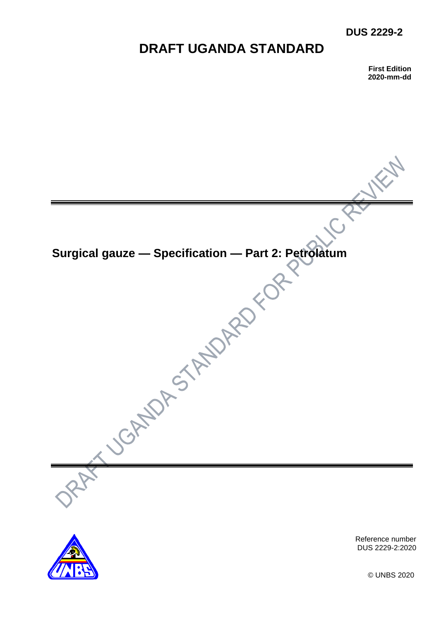## **DUS 2229-2**

# **DRAFT UGANDA STANDARD**

**First Edition 2020-mm-dd**





Reference number DUS 2229-2:2020

© UNBS 2020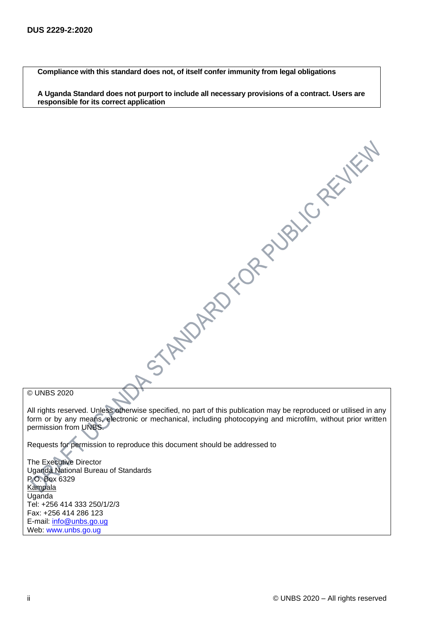**Compliance with this standard does not, of itself confer immunity from legal obligations**

**A Uganda Standard does not purport to include all necessary provisions of a contract. Users are responsible for its correct application**

© UNBS 2020

All rights reserved. Unless otherwise specified, no part of this publication may be reproduced or utilised in any form or by any means, electronic or mechanical, including photocopying and microfilm, without prior written permission from UNBS.

A STANDARD CORPUBLICARY WELL

Requests for permission to reproduce this document should be addressed to

The Executive Director Uganda National Bureau of Standards P.O. Box 6329 **Kampala** Uganda Tel: +256 414 333 250/1/2/3 Fax: +256 414 286 123 E-mail: [info@unbs.go.ug](mailto:info@unbs.go.ug) Web: www.unbs.go.ug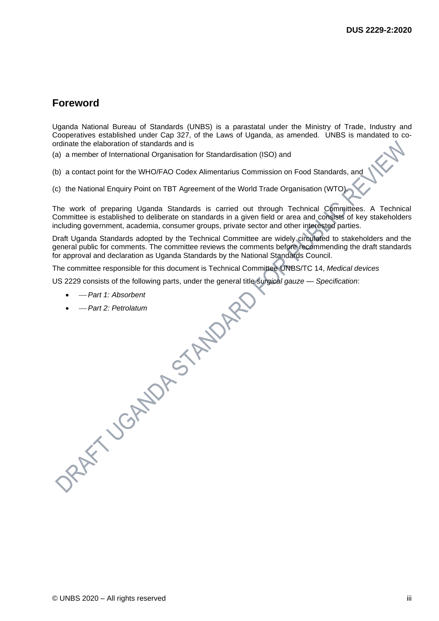## **Foreword**

Uganda National Bureau of Standards (UNBS) is a parastatal under the Ministry of Trade, Industry and Cooperatives established under Cap 327, of the Laws of Uganda, as amended. UNBS is mandated to coordinate the elaboration of standards and is

(a) a member of International Organisation for Standardisation (ISO) and

(b) a contact point for the WHO/FAO Codex Alimentarius Commission on Food Standards, and

(c) the National Enquiry Point on TBT Agreement of the World Trade Organisation (WTO).

The work of preparing Uganda Standards is carried out through Technical Committees. A Technical Committee is established to deliberate on standards in a given field or area and consists of key stakeholders including government, academia, consumer groups, private sector and other interested parties.

Draft Uganda Standards adopted by the Technical Committee are widely circulated to stakeholders and the general public for comments. The committee reviews the comments before recommending the draft standards for approval and declaration as Uganda Standards by the National Standards Council.

The committee responsible for this document is Technical Committee UNBS/TC 14, *Medical devices* 

US 2229 consists of the following parts, under the general title *surgical gauze — Specification*:

- <sup>⎯</sup> *Part 1: Absorbent*
- <sup>⎯</sup> *Part 2: Petrolatum*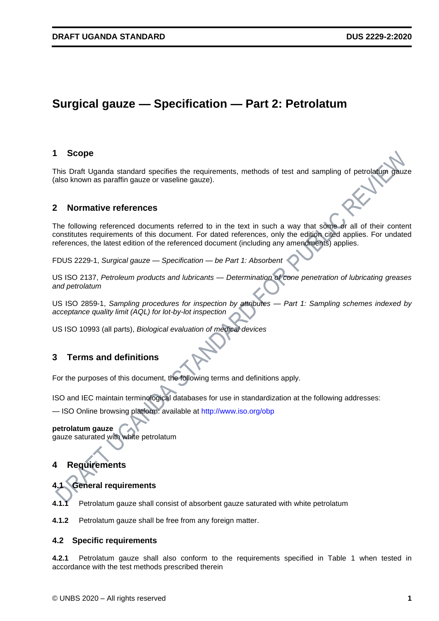## **Surgical gauze — Specification — Part 2: Petrolatum**

#### **1 Scope**

This Draft Uganda standard specifies the requirements, methods of test and sampling of petrolatum gauze (also known as paraffin gauze or vaseline gauze).

#### **2 Normative references**

The following referenced documents referred to in the text in such a way that some or all of their content constitutes requirements of this document. For dated references, only the edition cited applies. For undated references, the latest edition of the referenced document (including any amendments) applies.

FDUS 2229-1, *Surgical gauze — Specification — be Part 1: Absorbent*

US ISO 2137, *Petroleum products and lubricants — Determination of cone penetration of lubricating greases and petrolatum*

US ISO 2859-1, *Sampling procedures for inspection by attributes — Part 1: Sampling schemes indexed by acceptance quality limit (AQL) for lot-by-lot inspection*

US ISO 10993 (all parts), *Biological evaluation of medical devices*

#### **3 Terms and definitions**

For the purposes of this document, the following terms and definitions apply.

ISO and IEC maintain terminological databases for use in standardization at the following addresses:

— ISO Online browsing platform: available at http://www.iso.org/obp

#### **petrolatum gauze**

gauze saturated with white petrolatum

## **4 Requirements**

**4.1 General requirements**

Petrolatum gauze shall consist of absorbent gauze saturated with white petrolatum

**4.1.2** Petrolatum gauze shall be free from any foreign matter.

#### **4.2 Specific requirements**

**4.2.1** Petrolatum gauze shall also conform to the requirements specified in Table 1 when tested in accordance with the test methods prescribed therein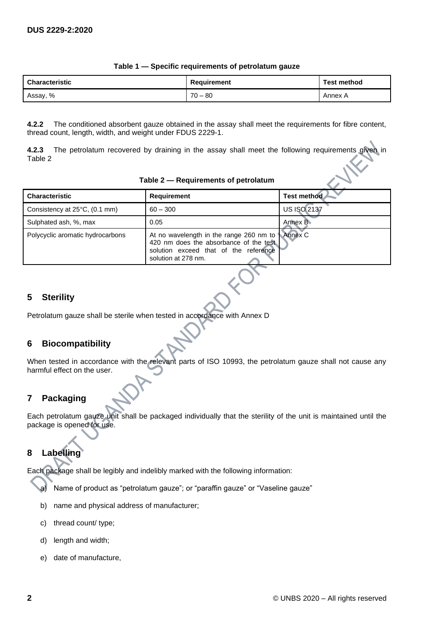| <b>Characteristic</b> | Requirement  | <b>Test method</b> |
|-----------------------|--------------|--------------------|
| Assay, %              | 70<br>l – 80 | Annex A            |

#### **Table 1 — Specific requirements of petrolatum gauze**

**4.2.2** The conditioned absorbent gauze obtained in the assay shall meet the requirements for fibre content, thread count, length, width, and weight under FDUS 2229-1.

**4.2.3** The petrolatum recovered by draining in the assay shall meet the following requirements given in Table 2

|  | Table 2 - Requirements of petrolatum |  |
|--|--------------------------------------|--|
|--|--------------------------------------|--|

| <b>Characteristic</b>            | <b>Requirement</b>                                                                                                                                         | Test method        |
|----------------------------------|------------------------------------------------------------------------------------------------------------------------------------------------------------|--------------------|
| Consistency at 25°C, (0.1 mm)    | $60 - 300$                                                                                                                                                 | <b>US ISO 2137</b> |
| Sulphated ash, %, max            | 0.05                                                                                                                                                       | Annex B            |
| Polycyclic aromatic hydrocarbons | At no wavelength in the range 260 nm to Annex C<br>420 nm does the absorbance of the test.<br>solution exceed that of the reference<br>solution at 278 nm. |                    |

## **5 Sterility**

Petrolatum gauze shall be sterile when tested in accordance with Annex D

#### **6 Biocompatibility**

When tested in accordance with the relevant parts of ISO 10993, the petrolatum gauze shall not cause any harmful effect on the user.

## **7 Packaging**

Each petrolatum gauze unit shall be packaged individually that the sterility of the unit is maintained until the package is opened for use.

## **8 Labelling**

Each package shall be legibly and indelibly marked with the following information:

- a) Name of product as "petrolatum gauze"; or "paraffin gauze" or "Vaseline gauze"
- b) name and physical address of manufacturer;
- c) thread count/ type;
- d) length and width;
- e) date of manufacture,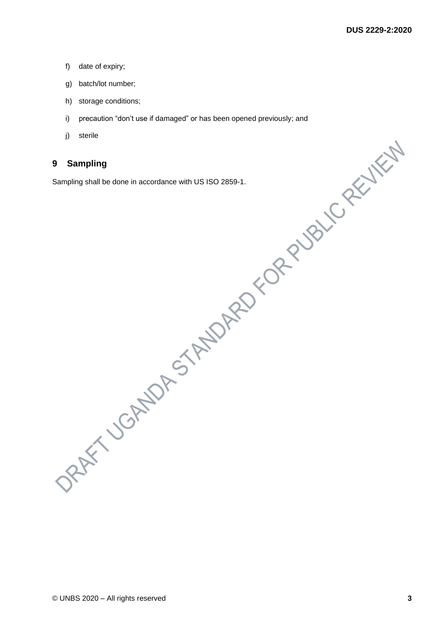- f) date of expiry;
- g) batch/lot number;
- h) storage conditions;
- i) precaution "don't use if damaged" or has been opened previously; and
- j) sterile

## **9 Sampling**

Sampling shall be done in accordance with US ISO 2859-1.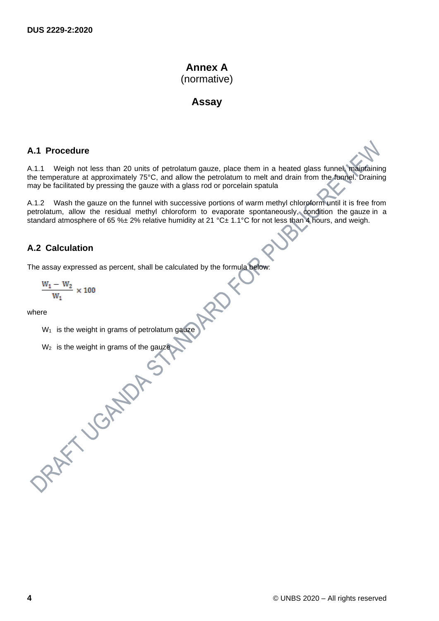## **Annex A** (normative)

## **Assay**

#### **A.1 Procedure**

A.1.1 Weigh not less than 20 units of petrolatum gauze, place them in a heated glass funnel, maintaining the temperature at approximately 75°C, and allow the petrolatum to melt and drain from the funnel. Draining may be facilitated by pressing the gauze with a glass rod or porcelain spatula

A.1.2 Wash the gauze on the funnel with successive portions of warm methyl chloroform until it is free from petrolatum, allow the residual methyl chloroform to evaporate spontaneously, condition the gauze in a standard atmosphere of 65 %± 2% relative humidity at 21 °C± 1.1°C for not less than 4 hours, and weigh.

## **A.2 Calculation**

The assay expressed as percent, shall be calculated by the formula below:

$$
\frac{W_1-W_2}{W_1}\times 100
$$

where

 $W_1$  is the weight in grams of petrolatum gauze

W<sub>2</sub> is the weight in grams of the gauze<br>  $\begin{pmatrix} 1 & 1 & 1 \\ 1 & 1 & 1 \\ 1 & 1 & 1 \\ 1 & 1 & 1 \end{pmatrix}$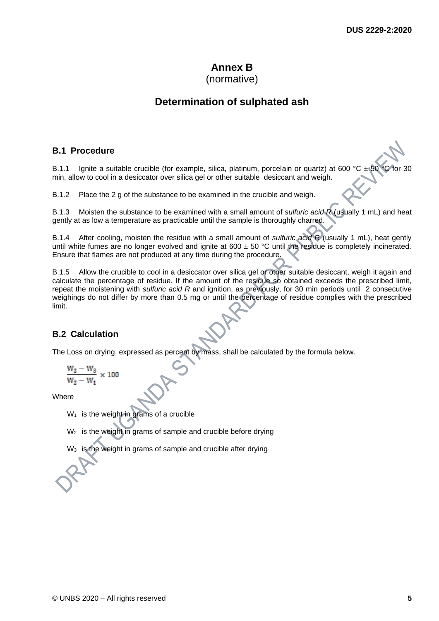# **Annex B**

## (normative)

## **Determination of sulphated ash**

## **B.1 Procedure**

B.1.1 Ignite a suitable crucible (for example, silica, platinum, porcelain or quartz) at 600 °C  $\pm$ min, allow to cool in a desiccator over silica gel or other suitable desiccant and weigh.

B.1.2 Place the 2 g of the substance to be examined in the crucible and weigh.

B.1.3 Moisten the substance to be examined with a small amount of *sulfuric acid R* (usually 1 mL) and heat gently at as low a temperature as practicable until the sample is thoroughly charred.

B.1.4 After cooling, moisten the residue with a small amount of *sulfuric acid R* (usually 1 mL), heat gently until white fumes are no longer evolved and ignite at  $600 \pm 50$  °C until the residue is completely incinerated. Ensure that flames are not produced at any time during the procedure.

B.1.5 Allow the crucible to cool in a desiccator over silica gel or other suitable desiccant, weigh it again and calculate the percentage of residue. If the amount of the residue so obtained exceeds the prescribed limit, repeat the moistening with *sulfuric acid R* and ignition, as previously, for 30 min periods until 2 consecutive weighings do not differ by more than 0.5 mg or until the percentage of residue complies with the prescribed limit.

## **B.2 Calculation**

The Loss on drying, expressed as percent by mass, shall be calculated by the formula below.

$$
\frac{\mathrm{W}_2-\mathrm{W}_3}{\mathrm{W}_2-\mathrm{W}_1} \times 100
$$

Where

 $W_1$  is the weight in grams of a crucible

W<sub>2</sub> is the weight in grams of sample and crucible before drying

is the weight in grams of sample and crucible after drying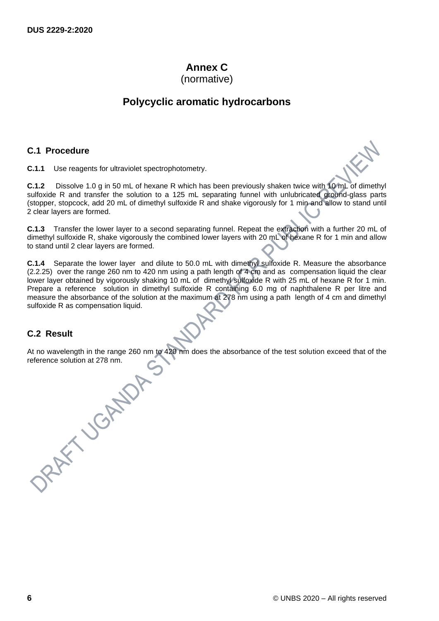## **Annex C**

(normative)

## **Polycyclic aromatic hydrocarbons**

## **C.1 Procedure**

**C.1.1** Use reagents for ultraviolet spectrophotometry.

**C.1.2** Dissolve 1.0 g in 50 mL of hexane R which has been previously shaken twice with 10 mL of dimethyl sulfoxide R and transfer the solution to a 125 mL separating funnel with unlubricated ground-glass parts (stopper, stopcock, add 20 mL of dimethyl sulfoxide R and shake vigorously for 1 min and allow to stand until 2 clear layers are formed.

**C.1.3** Transfer the lower layer to a second separating funnel. Repeat the extraction with a further 20 mL of dimethyl sulfoxide R, shake vigorously the combined lower layers with 20 mL of hexane R for 1 min and allow to stand until 2 clear layers are formed.

**C.1.4** Separate the lower layer and dilute to 50.0 mL with dimethyl sulfoxide R. Measure the absorbance (2.2.25) over the range 260 nm to 420 nm using a path length of 4 cm and as compensation liquid the clear lower layer obtained by vigorously shaking 10 mL of dimethyl sulfoxide R with 25 mL of hexane R for 1 min. Prepare a reference solution in dimethyl sulfoxide R containing 6.0 mg of naphthalene R per litre and measure the absorbance of the solution at the maximum at 278 nm using a path length of 4 cm and dimethyl sulfoxide R as compensation liquid.

## **C.2 Result**

At no wavelength in the range 260 nm to 420 nm does the absorbance of the test solution exceed that of the reference solution at 278 nm.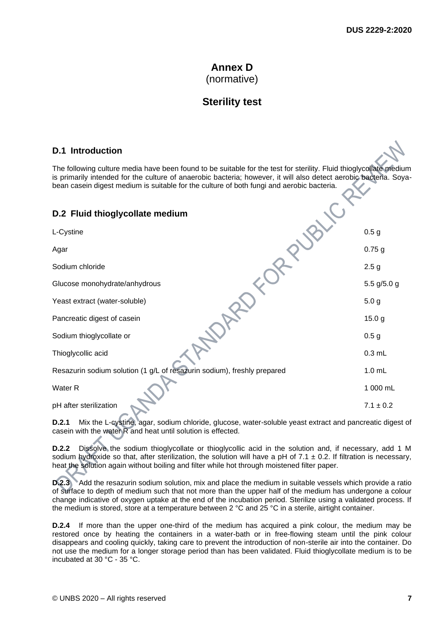## **Annex D** (normative)

## **Sterility test**

## **D.1 Introduction**

The following culture media have been found to be suitable for the test for sterility. Fluid thioglycollate medium is primarily intended for the culture of anaerobic bacteria; however, it will also detect aerobic bacteria. Soyabean casein digest medium is suitable for the culture of both fungi and aerobic bacteria.

## **D.2 Fluid thioglycollate medium**

| L-Cystine                                                               | 0.5 <sub>g</sub>  |
|-------------------------------------------------------------------------|-------------------|
| Agar                                                                    | $0.75$ g          |
| Sodium chloride                                                         | 2.5 <sub>g</sub>  |
| Glucose monohydrate/anhydrous                                           | 5.5 $g/5.0 g$     |
| Yeast extract (water-soluble)                                           | 5.0 <sub>g</sub>  |
| Pancreatic digest of casein                                             | 15.0 <sub>g</sub> |
| Sodium thioglycollate or                                                | 0.5 <sub>g</sub>  |
| Thioglycollic acid                                                      | $0.3$ mL          |
| Resazurin sodium solution (1 g/L of resazurin sodium), freshly prepared | $1.0$ mL          |
| Water <sub>R</sub>                                                      | 1 000 mL          |
| pH after sterilization                                                  | $7.1 \pm 0.2$     |

**D.2.1** Mix the L-cystine, agar, sodium chloride, glucose, water-soluble yeast extract and pancreatic digest of casein with the water R and heat until solution is effected.

**D.2.2** Dissolve the sodium thioglycollate or thioglycollic acid in the solution and, if necessary, add 1 M sodium hydroxide so that, after sterilization, the solution will have a pH of 7.1  $\pm$  0.2. If filtration is necessary, heat the solution again without boiling and filter while hot through moistened filter paper.

**D.2.3** Add the resazurin sodium solution, mix and place the medium in suitable vessels which provide a ratio of surface to depth of medium such that not more than the upper half of the medium has undergone a colour change indicative of oxygen uptake at the end of the incubation period. Sterilize using a validated process. If the medium is stored, store at a temperature between 2 °C and 25 °C in a sterile, airtight container.

**D.2.4** If more than the upper one-third of the medium has acquired a pink colour, the medium may be restored once by heating the containers in a water-bath or in free-flowing steam until the pink colour disappears and cooling quickly, taking care to prevent the introduction of non-sterile air into the container. Do not use the medium for a longer storage period than has been validated. Fluid thioglycollate medium is to be incubated at 30 °C - 35 °C.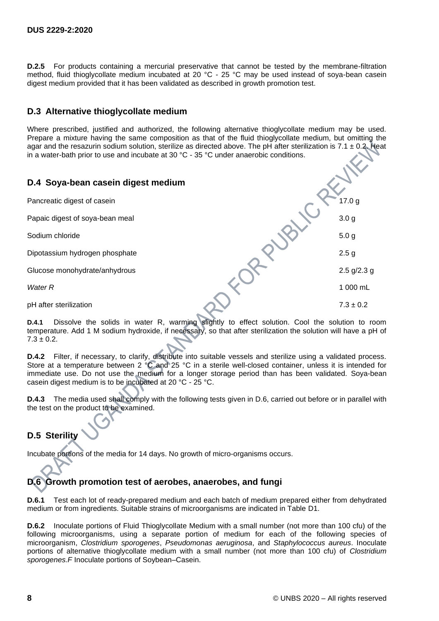**D.2.5** For products containing a mercurial preservative that cannot be tested by the membrane-filtration method, fluid thioglycollate medium incubated at 20 °C - 25 °C may be used instead of soya-bean casein digest medium provided that it has been validated as described in growth promotion test.

## **D.3 Alternative thioglycollate medium**

Where prescribed, justified and authorized, the following alternative thioglycollate medium may be used. Prepare a mixture having the same composition as that of the fluid thioglycollate medium, but omitting the agar and the resazurin sodium solution, sterilize as directed above. The pH after sterilization is 7.1  $\pm$  0.2. Heat in a water-bath prior to use and incubate at 30  $^{\circ}$ C - 35  $^{\circ}$ C under anaerobic conditions.

## **D.4 Soya-bean casein digest medium**

Pancreatic digest of casein **17.0 g** 

Papaic digest of soya-bean meal 3.0 g

Sodium chloride 5.0 g

Dipotassium hydrogen phosphate 2.5 g

Glucose monohydrate/anhydrous 2.5 g/2.3 g

*Water R* 1 000 mL

pH after sterilization  $7.3 \pm 0.2$ 

**D.4.1** Dissolve the solids in water R, warming slightly to effect solution. Cool the solution to room temperature. Add 1 M sodium hydroxide, if necessary, so that after sterilization the solution will have a pH of  $7.3 \pm 0.2$ .

**D.4.2** Filter, if necessary, to clarify, distribute into suitable vessels and sterilize using a validated process. Store at a temperature between 2 °C and 25 °C in a sterile well-closed container, unless it is intended for immediate use. Do not use the medium for a longer storage period than has been validated. Soya-bean casein digest medium is to be incubated at 20 °C - 25 °C.

**D.4.3** The media used shall comply with the following tests given in D.6, carried out before or in parallel with the test on the product to be examined.

## **D.5 Sterility**

Incubate portions of the media for 14 days. No growth of micro-organisms occurs.

## **D.6 Growth promotion test of aerobes, anaerobes, and fungi**

**D.6.1** Test each lot of ready-prepared medium and each batch of medium prepared either from dehydrated medium or from ingredients. Suitable strains of microorganisms are indicated in Table D1.

**D.6.2** Inoculate portions of Fluid Thioglycollate Medium with a small number (not more than 100 cfu) of the following microorganisms, using a separate portion of medium for each of the following species of microorganism, *Clostridium sporogenes*, *Pseudomonas aeruginosa*, and *Staphylococcus aureus*. Inoculate portions of alternative thioglycollate medium with a small number (not more than 100 cfu) of *Clostridium sporogenes.F* Inoculate portions of Soybean–Casein.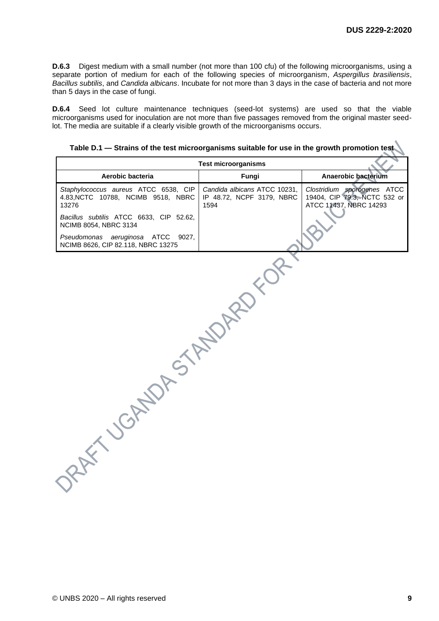**D.6.3** Digest medium with a small number (not more than 100 cfu) of the following microorganisms, using a separate portion of medium for each of the following species of microorganism, *Aspergillus brasiliensis*, *Bacillus subtilis*, and *Candida albicans*. Incubate for not more than 3 days in the case of bacteria and not more than 5 days in the case of fungi.

**D.6.4** Seed lot culture maintenance techniques (seed-lot systems) are used so that the viable microorganisms used for inoculation are not more than five passages removed from the original master seedlot. The media are suitable if a clearly visible growth of the microorganisms occurs.

**Table D.1 — Strains of the test microorganisms suitable for use in the growth promotion test** 

| <b>Test microorganisms</b>                                                          |                                                                   |                                                                                       |  |
|-------------------------------------------------------------------------------------|-------------------------------------------------------------------|---------------------------------------------------------------------------------------|--|
| Aerobic bacteria                                                                    | Fungi                                                             | Anaerobic bacterium                                                                   |  |
| Staphylococcus aureus ATCC 6538, CIP<br>4.83, NCTC 10788, NCIMB 9518, NBRC<br>13276 | Candida albicans ATCC 10231,<br>IP 48.72, NCPF 3179, NBRC<br>1594 | Clostridium sporogenes ATCC<br>19404, CIP 79.3, NCTC 532 or<br>ATCC 11437, NBRC 14293 |  |
| Bacillus subtilis ATCC 6633, CIP 52.62,<br>NCIMB 8054, NBRC 3134                    |                                                                   |                                                                                       |  |
| Pseudomonas aeruginosa ATCC 9027,<br>NCIMB 8626, CIP 82.118, NBRC 13275             |                                                                   |                                                                                       |  |
| DASYRYS<br>AFT JORNAL                                                               |                                                                   |                                                                                       |  |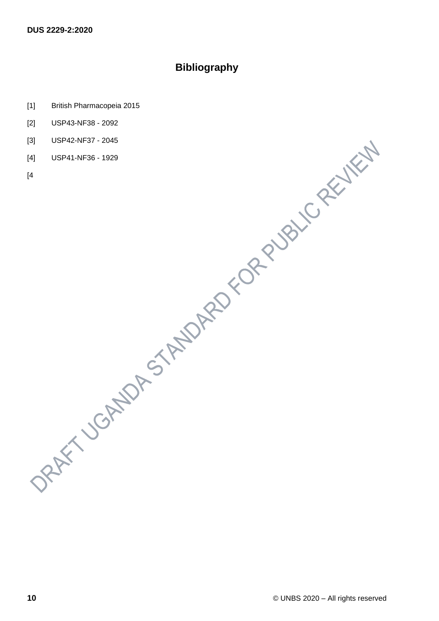## **Bibliography**

- [1] British Pharmacopeia 2015
- [2] USP43-NF38 2092
- [3] USP42-NF37 2045
- [4] USP41-NF36 1929
- [4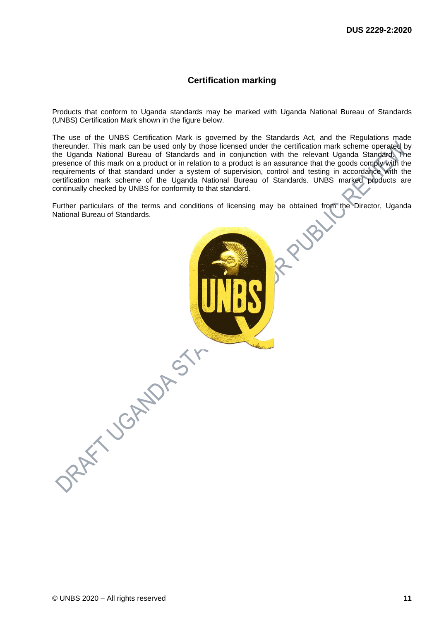#### **Certification marking**

Products that conform to Uganda standards may be marked with Uganda National Bureau of Standards (UNBS) Certification Mark shown in the figure below.

The use of the UNBS Certification Mark is governed by the Standards Act, and the Regulations made thereunder. This mark can be used only by those licensed under the certification mark scheme operated by the Uganda National Bureau of Standards and in conjunction with the relevant Uganda Standard. The presence of this mark on a product or in relation to a product is an assurance that the goods comply with the requirements of that standard under a system of supervision, control and testing in accordance with the certification mark scheme of the Uganda National Bureau of Standards. UNBS marked products are continually checked by UNBS for conformity to that standard.

Further particulars of the terms and conditions of licensing may be obtained from the Director, Uganda National Bureau of Standards. RUB

ORAFT JORNALDAST